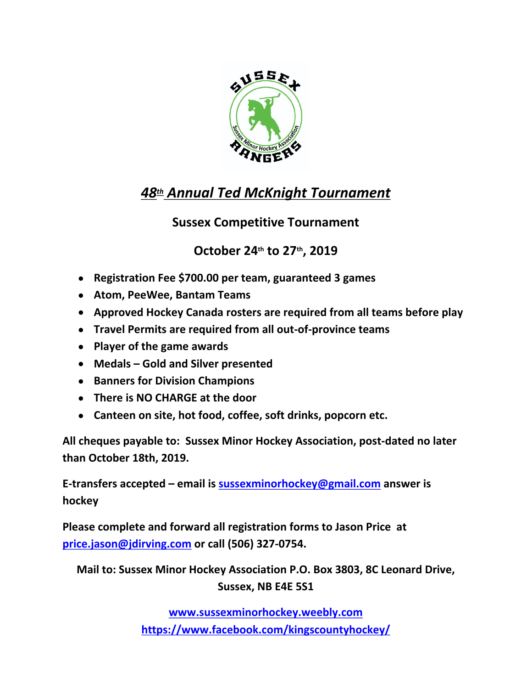

## 48th Annual Ted McKnight Tournament

## **Sussex Competitive Tournament**

## October 24th to 27th, 2019

- Registration Fee \$700.00 per team, guaranteed 3 games
- Atom, PeeWee, Bantam Teams
- Approved Hockey Canada rosters are required from all teams before play
- Travel Permits are required from all out-of-province teams
- Player of the game awards
- Medals Gold and Silver presented
- Banners for Division Champions
- There is NO CHARGE at the door
- Canteen on site, hot food, coffee, soft drinks, popcorn etc.

All cheques payable to: Sussex Minor Hockey Association, post-dated no later than October 18th, 2019.

E-transfers accepted – email is sussexminorhockey@gmail.com answer is hockey

Please complete and forward all registration forms to Jason Price at price.jason@jdirving.com or call (506) 327-0754.

Mail to: Sussex Minor Hockey Association P.O. Box 3803, 8C Leonard Drive, Sussex, NB E4E 5S1

> www.sussexminorhockey.weebly.com https://www.facebook.com/kingscountyhockey/